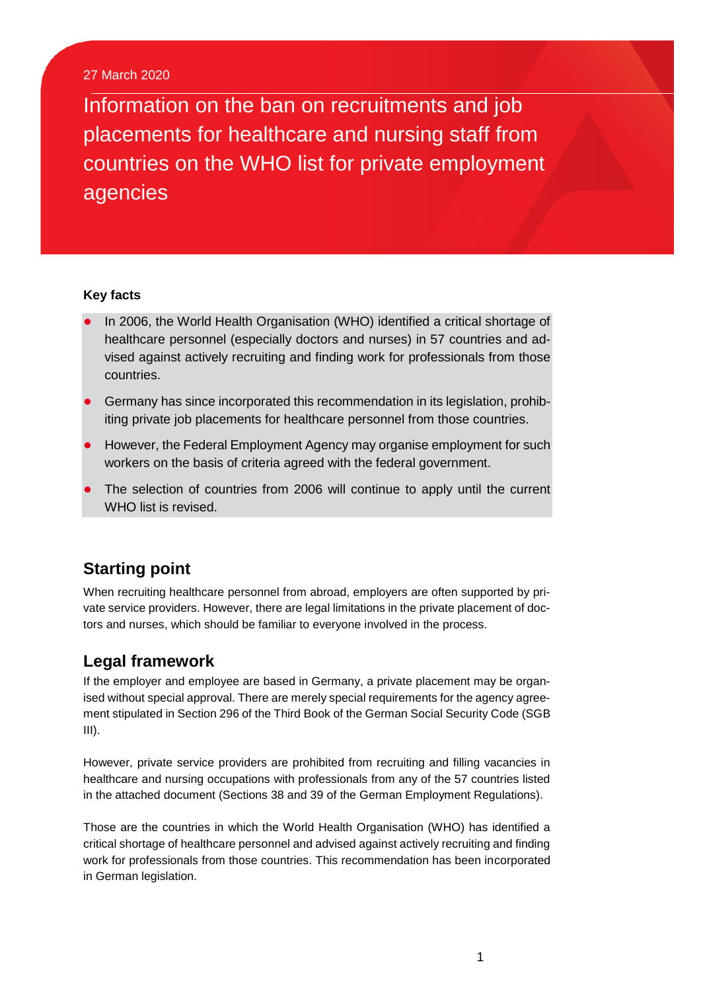#### 27 March 2020

Information on the ban on recruitments and job placements for healthcare and nursing staff from countries on the WHO list for private employment agencies

#### **Key facts**

- In 2006, the World Health Organisation (WHO) identified a critical shortage of healthcare personnel (especially doctors and nurses) in 57 countries and advised against actively recruiting and finding work for professionals from those countries.
- Germany has since incorporated this recommendation in its legislation, prohibiting private job placements for healthcare personnel from those countries.
- However, the Federal Employment Agency may organise employment for such workers on the basis of criteria agreed with the federal government.
- The selection of countries from 2006 will continue to apply until the current WHO list is revised.

## **Starting point**

When recruiting healthcare personnel from abroad, employers are often supported by private service providers. However, there are legal limitations in the private placement of doctors and nurses, which should be familiar to everyone involved in the process.

### **Legal framework**

If the employer and employee are based in Germany, a private placement may be organised without special approval. There are merely special requirements for the agency agreement stipulated in Section 296 of the Third Book of the German Social Security Code (SGB III).

However, private service providers are prohibited from recruiting and filling vacancies in healthcare and nursing occupations with professionals from any of the 57 countries listed in the attached document (Sections 38 and 39 of the German Employment Regulations).

Those are the countries in which the World Health Organisation (WHO) has identified a critical shortage of healthcare personnel and advised against actively recruiting and finding work for professionals from those countries. This recommendation has been incorporated in German legislation.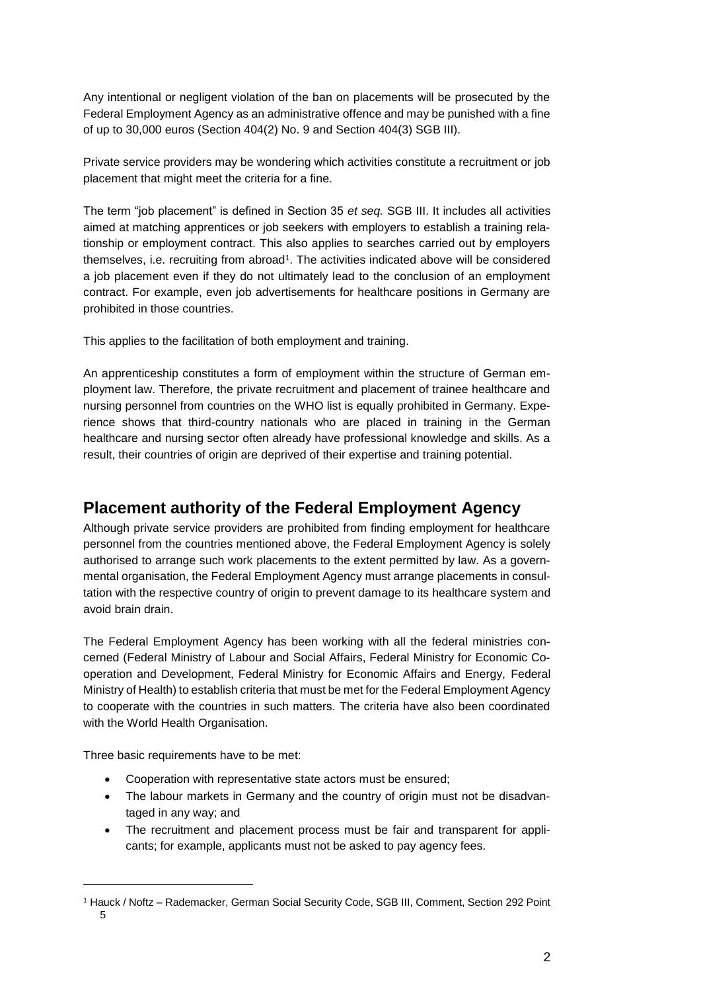Any intentional or negligent violation of the ban on placements will be prosecuted by the Federal Employment Agency as an administrative offence and may be punished with a fine of up to 30,000 euros (Section 404(2) No. 9 and Section 404(3) SGB III).

Private service providers may be wondering which activities constitute a recruitment or job placement that might meet the criteria for a fine.

The term "job placement" is defined in Section 35 *et seq.* SGB III. It includes all activities aimed at matching apprentices or job seekers with employers to establish a training relationship or employment contract. This also applies to searches carried out by employers themselves, i.e. recruiting from abroad<sup>1</sup>. The activities indicated above will be considered a job placement even if they do not ultimately lead to the conclusion of an employment contract. For example, even job advertisements for healthcare positions in Germany are prohibited in those countries.

This applies to the facilitation of both employment and training.

An apprenticeship constitutes a form of employment within the structure of German employment law. Therefore, the private recruitment and placement of trainee healthcare and nursing personnel from countries on the WHO list is equally prohibited in Germany. Experience shows that third-country nationals who are placed in training in the German healthcare and nursing sector often already have professional knowledge and skills. As a result, their countries of origin are deprived of their expertise and training potential.

# **Placement authority of the Federal Employment Agency**

Although private service providers are prohibited from finding employment for healthcare personnel from the countries mentioned above, the Federal Employment Agency is solely authorised to arrange such work placements to the extent permitted by law. As a governmental organisation, the Federal Employment Agency must arrange placements in consultation with the respective country of origin to prevent damage to its healthcare system and avoid brain drain.

The Federal Employment Agency has been working with all the federal ministries concerned (Federal Ministry of Labour and Social Affairs, Federal Ministry for Economic Cooperation and Development, Federal Ministry for Economic Affairs and Energy, Federal Ministry of Health) to establish criteria that must be met for the Federal Employment Agency to cooperate with the countries in such matters. The criteria have also been coordinated with the World Health Organisation.

Three basic requirements have to be met:

 $\overline{a}$ 

- Cooperation with representative state actors must be ensured;
- The labour markets in Germany and the country of origin must not be disadvantaged in any way; and
- The recruitment and placement process must be fair and transparent for applicants; for example, applicants must not be asked to pay agency fees.

<sup>1</sup> Hauck / Noftz – Rademacker, German Social Security Code, SGB III, Comment, Section 292 Point 5